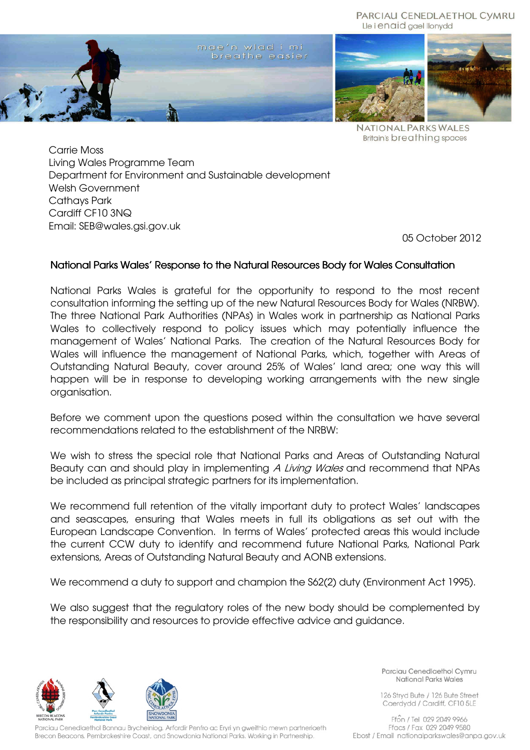

**NATIONAL PARKS WALES Britain's breathing spaces** 

Carrie Moss Living Wales Programme Team Department for Environment and Sustainable development Welsh Government Cathays Park Cardiff CF10 3NQ Email: SEB@wales.gsi.gov.uk

05 October 2012

# National Parks Wales' Response to the Natural Resources Body for Wales Consultation

National Parks Wales is grateful for the opportunity to respond to the most recent consultation informing the setting up of the new Natural Resources Body for Wales (NRBW). The three National Park Authorities (NPAs) in Wales work in partnership as National Parks Wales to collectively respond to policy issues which may potentially influence the management of Wales' National Parks. The creation of the Natural Resources Body for Wales will influence the management of National Parks, which, together with Areas of Outstanding Natural Beauty, cover around 25% of Wales' land area; one way this will happen will be in response to developing working arrangements with the new single organisation.

Before we comment upon the questions posed within the consultation we have several recommendations related to the establishment of the NRBW:

We wish to stress the special role that National Parks and Areas of Outstanding Natural Beauty can and should play in implementing A Living Wales and recommend that NPAs be included as principal strategic partners for its implementation.

We recommend full retention of the vitally important duty to protect Wales' landscapes and seascapes, ensuring that Wales meets in full its obligations as set out with the European Landscape Convention. In terms of Wales' protected areas this would include the current CCW duty to identify and recommend future National Parks, National Park extensions, Areas of Outstanding Natural Beauty and AONB extensions.

We recommend a duty to support and champion the S62(2) duty (Environment Act 1995).

We also suggest that the regulatory roles of the new body should be complemented by the responsibility and resources to provide effective advice and guidance.



Parciau Cenedlaethol Bannau Brycheiniog, Arfordir Penfro ac Eryri yn gweithio mewn partneriaeth Brecon Beacons, Pembrokeshire Coast, and Snowdonia National Parks. Working in Partnership.

Parciau Cenedlaethol Cymru National Parks Wales

126 Stryd Bute / 126 Bute Street Caerdydd / Cardiff, CF10 5LE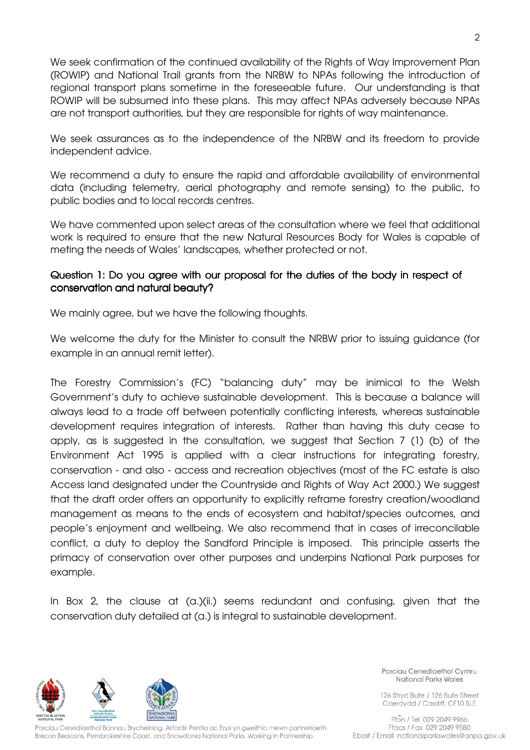We seek confirmation of the continued availability of the Rights of Way Improvement Plan (ROWIP) and National Trail grants from the NRBW to NPAs following the introduction of regional transport plans sometime in the foreseeable future. Our understanding is that ROWIP will be subsumed into these plans. This may affect NPAs adversely because NPAs are not transport authorities, but they are responsible for rights of way maintenance.

We seek assurances as to the independence of the NRBW and its freedom to provide independent advice.

We recommend a duty to ensure the rapid and affordable availability of environmental data (including telemetry, aerial photography and remote sensing) to the public, to public bodies and to local records centres.

We have commented upon select areas of the consultation where we feel that additional work is required to ensure that the new Natural Resources Body for Wales is capable of meting the needs of Wales' landscapes, whether protected or not.

# Question 1: Do you agree with our proposal for the duties of the body in respect of conservation and natural beauty?

We mainly agree, but we have the following thoughts.

We welcome the duty for the Minister to consult the NRBW prior to issuing guidance (for example in an annual remit letter).

The Forestry Commission's (FC) "balancing duty" may be inimical to the Welsh Government's duty to achieve sustainable development. This is because a balance will always lead to a trade off between potentially conflicting interests, whereas sustainable development requires integration of interests. Rather than having this duty cease to apply, as is suggested in the consultation, we suggest that Section 7 (1) (b) of the Environment Act 1995 is applied with a clear instructions for integrating forestry, conservation - and also - access and recreation objectives (most of the FC estate is also Access land designated under the Countryside and Rights of Way Act 2000.) We suggest that the draft order offers an opportunity to explicitly reframe forestry creation/woodland management as means to the ends of ecosystem and habitat/species outcomes, and people's enjoyment and wellbeing. We also recommend that in cases of irreconcilable conflict, a duty to deploy the Sandford Principle is imposed. This principle asserts the primacy of conservation over other purposes and underpins National Park purposes for example.

In Box 2, the clause at (a.)(ii.) seems redundant and confusing, given that the conservation duty detailed at (a.) is integral to sustainable development.



Parciau Cenedlaethol Bannau Brycheiniog, Arfordir Penfro ac Eryri yn gweithio mewn partneriaeth Brecon Beacons, Pembrokeshire Coast, and Snowdonia National Parks. Working in Partnership.

Parciau Cenedlaethol Cymru National Parks Wales

126 Stryd Bute / 126 Bute Street Caerdydd / Cardiff, CF10 5LE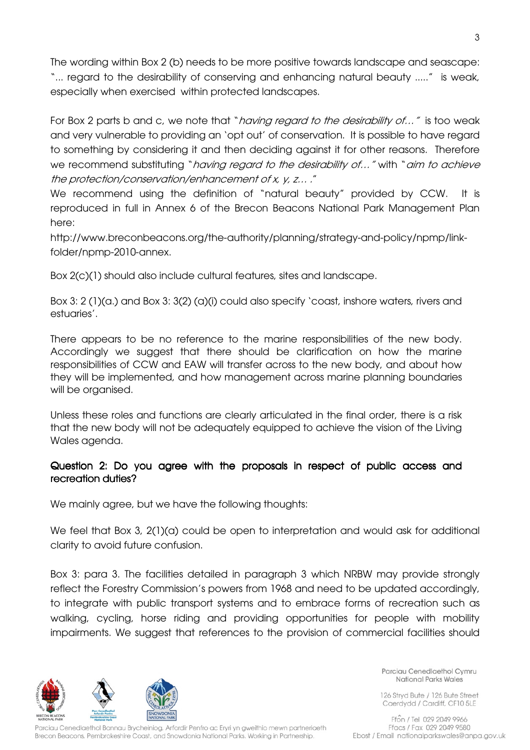The wording within Box 2 (b) needs to be more positive towards landscape and seascape: "... regard to the desirability of conserving and enhancing natural beauty ....." is weak, especially when exercised within protected landscapes.

For Box 2 parts b and c, we note that "*having regard to the desirability of...*" is too weak and very vulnerable to providing an 'opt out' of conservation. It is possible to have regard to something by considering it and then deciding against it for other reasons. Therefore we recommend substituting "*having regard to the desirability of..."* with "aim to achieve the protection/conservation/enhancement of x, y, z… ."

We recommend using the definition of "natural beauty" provided by CCW. It is reproduced in full in Annex 6 of the Brecon Beacons National Park Management Plan here:

http://www.breconbeacons.org/the-authority/planning/strategy-and-policy/npmp/linkfolder/npmp-2010-annex.

Box 2(c)(1) should also include cultural features, sites and landscape.

Box 3: 2 (1)(a.) and Box 3: 3(2) (a)(i) could also specify 'coast, inshore waters, rivers and estuaries'.

There appears to be no reference to the marine responsibilities of the new body. Accordingly we suggest that there should be clarification on how the marine responsibilities of CCW and EAW will transfer across to the new body, and about how they will be implemented, and how management across marine planning boundaries will be organised.

Unless these roles and functions are clearly articulated in the final order, there is a risk that the new body will not be adequately equipped to achieve the vision of the Living Wales agenda.

# Question 2: Do you agree with the proposals in respect of public access and recreation duties?

We mainly agree, but we have the following thoughts:

We feel that Box 3, 2(1)(a) could be open to interpretation and would ask for additional clarity to avoid future confusion.

Box 3: para 3. The facilities detailed in paragraph 3 which NRBW may provide strongly reflect the Forestry Commission's powers from 1968 and need to be updated accordingly, to integrate with public transport systems and to embrace forms of recreation such as walking, cycling, horse riding and providing opportunities for people with mobility impairments. We suggest that references to the provision of commercial facilities should



Parciau Cenedlaethol Bannau Brycheiniog, Arfordir Penfro ac Eryri yn gweithio mewn partneriaeth Brecon Beacons, Pembrokeshire Coast, and Snowdonia National Parks. Working in Partnership.

Parciau Cenedlaethol Cymru National Parks Wales

126 Stryd Bute / 126 Bute Street Caerdydd / Cardiff, CF10 5LE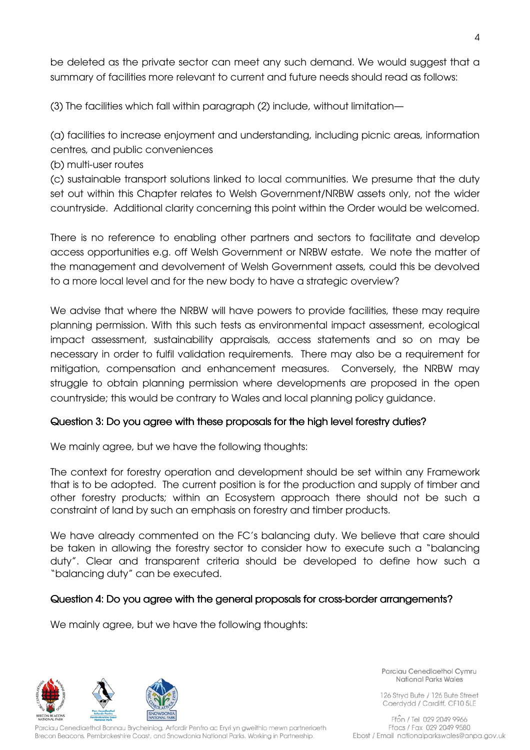be deleted as the private sector can meet any such demand. We would suggest that a summary of facilities more relevant to current and future needs should read as follows:

(3) The facilities which fall within paragraph (2) include, without limitation—

(a) facilities to increase enjoyment and understanding, including picnic areas, information centres, and public conveniences

(b) multi-user routes

(c) sustainable transport solutions linked to local communities. We presume that the duty set out within this Chapter relates to Welsh Government/NRBW assets only, not the wider countryside. Additional clarity concerning this point within the Order would be welcomed.

There is no reference to enabling other partners and sectors to facilitate and develop access opportunities e.g. off Welsh Government or NRBW estate. We note the matter of the management and devolvement of Welsh Government assets, could this be devolved to a more local level and for the new body to have a strategic overview?

We advise that where the NRBW will have powers to provide facilities, these may require planning permission. With this such tests as environmental impact assessment, ecological impact assessment, sustainability appraisals, access statements and so on may be necessary in order to fulfil validation requirements. There may also be a requirement for mitigation, compensation and enhancement measures. Conversely, the NRBW may struggle to obtain planning permission where developments are proposed in the open countryside; this would be contrary to Wales and local planning policy guidance.

# Question 3: Do you agree with these proposals for the high level forestry duties?

We mainly agree, but we have the following thoughts:

The context for forestry operation and development should be set within any Framework that is to be adopted. The current position is for the production and supply of timber and other forestry products; within an Ecosystem approach there should not be such a constraint of land by such an emphasis on forestry and timber products.

We have already commented on the FC's balancing duty. We believe that care should be taken in allowing the forestry sector to consider how to execute such a "balancing duty". Clear and transparent criteria should be developed to define how such a "balancing duty" can be executed.

### Question 4: Do you agree with the general proposals for cross-border arrangements?

We mainly agree, but we have the following thoughts:



Parciau Cenedlaethol Bannau Brycheiniog, Arfordir Penfro ac Eryri yn gweithio mewn partneriaeth Brecon Beacons, Pembrokeshire Coast, and Snowdonia National Parks. Working in Partnership.

Parciau Cenedlaethol Cymru National Parks Wales

126 Stryd Bute / 126 Bute Street Caerdydd / Cardiff, CF10 5LE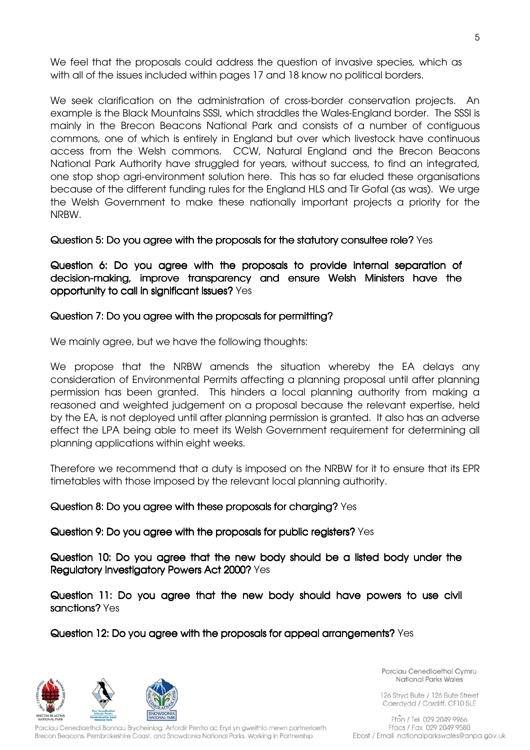We feel that the proposals could address the question of invasive species, which as with all of the issues included within pages 17 and 18 know no political borders.

We seek clarification on the administration of cross-border conservation projects. An example is the Black Mountains SSSI, which straddles the Wales-England border. The SSSI is mainly in the Brecon Beacons National Park and consists of a number of contiguous commons, one of which is entirely in England but over which livestock have continuous access from the Welsh commons. CCW, Natural England and the Brecon Beacons National Park Authority have struggled for years, without success, to find an integrated, one stop shop agri-environment solution here. This has so far eluded these organisations because of the different funding rules for the England HLS and Tir Gofal (as was). We urge the Welsh Government to make these nationally important projects a priority for the NRBW.

Question 5: Do you agree with the proposals for the statutory consultee role? Yes

Question 6: Do you agree with the proposals to provide internal separation of decision-making, improve transparency and ensure Welsh Ministers have the opportunity to call in significant issues? Yes

### Question 7: Do you agree with the proposals for permitting?

We mainly agree, but we have the following thoughts:

We propose that the NRBW amends the situation whereby the EA delays any consideration of Environmental Permits affecting a planning proposal until after planning permission has been granted. This hinders a local planning authority from making a reasoned and weighted judgement on a proposal because the relevant expertise, held by the EA, is not deployed until after planning permission is granted. It also has an adverse effect the LPA being able to meet its Welsh Government requirement for determining all planning applications within eight weeks.

Therefore we recommend that a duty is imposed on the NRBW for it to ensure that its EPR timetables with those imposed by the relevant local planning authority.

#### Question 8: Do you agree with these proposals for charging? Yes

Question 9: Do you agree with the proposals for public registers? Yes

Question 10: Do you agree that the new body should be a listed body under the Regulatory Investigatory Powers Act 2000? Yes

Question 11: Do you agree that the new body should have powers to use civil sanctions? Yes

Question 12: Do you agree with the proposals for appeal arrangements? Yes

Parciau Cenedlaethol Bannau Brycheiniog, Arfordir Penfro ac Eryri yn gweithio mewn partneriaeth Brecon Beacons, Pembrokeshire Coast, and Snowdonia National Parks. Working in Partnership.

Parciau Cenedlaethol Cymru National Parks Wales

126 Stryd Bute / 126 Bute Street Caerdydd / Cardiff, CF10 5LE